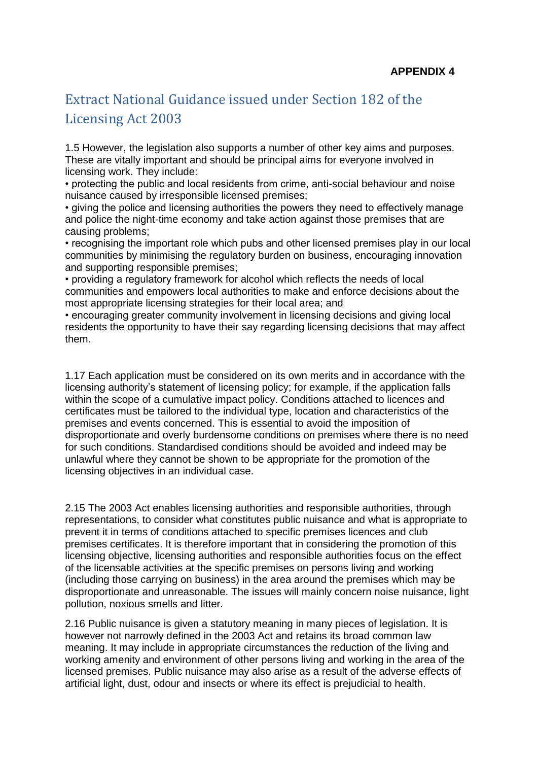## Extract National Guidance issued under Section 182 of the Licensing Act 2003

1.5 However, the legislation also supports a number of other key aims and purposes. These are vitally important and should be principal aims for everyone involved in licensing work. They include:

• protecting the public and local residents from crime, anti-social behaviour and noise nuisance caused by irresponsible licensed premises;

• giving the police and licensing authorities the powers they need to effectively manage and police the night-time economy and take action against those premises that are causing problems;

• recognising the important role which pubs and other licensed premises play in our local communities by minimising the regulatory burden on business, encouraging innovation and supporting responsible premises;

• providing a regulatory framework for alcohol which reflects the needs of local communities and empowers local authorities to make and enforce decisions about the most appropriate licensing strategies for their local area; and

• encouraging greater community involvement in licensing decisions and giving local residents the opportunity to have their say regarding licensing decisions that may affect them.

1.17 Each application must be considered on its own merits and in accordance with the licensing authority's statement of licensing policy; for example, if the application falls within the scope of a cumulative impact policy. Conditions attached to licences and certificates must be tailored to the individual type, location and characteristics of the premises and events concerned. This is essential to avoid the imposition of disproportionate and overly burdensome conditions on premises where there is no need for such conditions. Standardised conditions should be avoided and indeed may be unlawful where they cannot be shown to be appropriate for the promotion of the licensing objectives in an individual case.

2.15 The 2003 Act enables licensing authorities and responsible authorities, through representations, to consider what constitutes public nuisance and what is appropriate to prevent it in terms of conditions attached to specific premises licences and club premises certificates. It is therefore important that in considering the promotion of this licensing objective, licensing authorities and responsible authorities focus on the effect of the licensable activities at the specific premises on persons living and working (including those carrying on business) in the area around the premises which may be disproportionate and unreasonable. The issues will mainly concern noise nuisance, light pollution, noxious smells and litter.

2.16 Public nuisance is given a statutory meaning in many pieces of legislation. It is however not narrowly defined in the 2003 Act and retains its broad common law meaning. It may include in appropriate circumstances the reduction of the living and working amenity and environment of other persons living and working in the area of the licensed premises. Public nuisance may also arise as a result of the adverse effects of artificial light, dust, odour and insects or where its effect is prejudicial to health.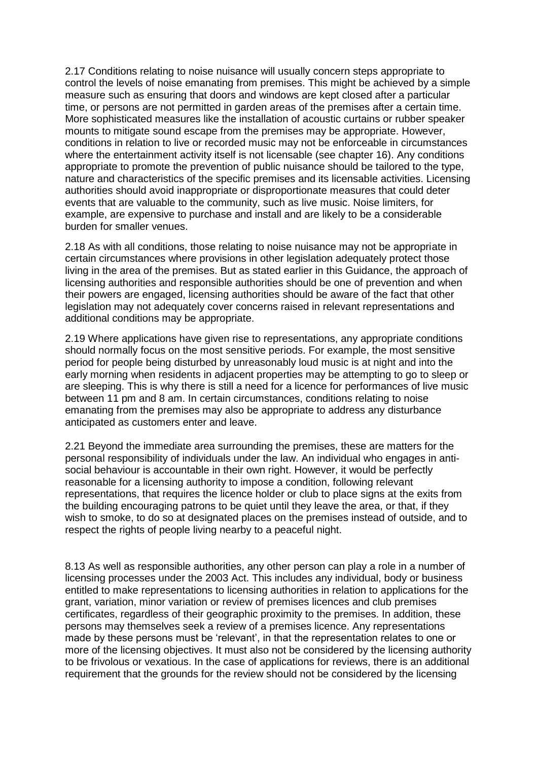2.17 Conditions relating to noise nuisance will usually concern steps appropriate to control the levels of noise emanating from premises. This might be achieved by a simple measure such as ensuring that doors and windows are kept closed after a particular time, or persons are not permitted in garden areas of the premises after a certain time. More sophisticated measures like the installation of acoustic curtains or rubber speaker mounts to mitigate sound escape from the premises may be appropriate. However, conditions in relation to live or recorded music may not be enforceable in circumstances where the entertainment activity itself is not licensable (see chapter 16). Any conditions appropriate to promote the prevention of public nuisance should be tailored to the type, nature and characteristics of the specific premises and its licensable activities. Licensing authorities should avoid inappropriate or disproportionate measures that could deter events that are valuable to the community, such as live music. Noise limiters, for example, are expensive to purchase and install and are likely to be a considerable burden for smaller venues.

2.18 As with all conditions, those relating to noise nuisance may not be appropriate in certain circumstances where provisions in other legislation adequately protect those living in the area of the premises. But as stated earlier in this Guidance, the approach of licensing authorities and responsible authorities should be one of prevention and when their powers are engaged, licensing authorities should be aware of the fact that other legislation may not adequately cover concerns raised in relevant representations and additional conditions may be appropriate.

2.19 Where applications have given rise to representations, any appropriate conditions should normally focus on the most sensitive periods. For example, the most sensitive period for people being disturbed by unreasonably loud music is at night and into the early morning when residents in adjacent properties may be attempting to go to sleep or are sleeping. This is why there is still a need for a licence for performances of live music between 11 pm and 8 am. In certain circumstances, conditions relating to noise emanating from the premises may also be appropriate to address any disturbance anticipated as customers enter and leave.

2.21 Beyond the immediate area surrounding the premises, these are matters for the personal responsibility of individuals under the law. An individual who engages in antisocial behaviour is accountable in their own right. However, it would be perfectly reasonable for a licensing authority to impose a condition, following relevant representations, that requires the licence holder or club to place signs at the exits from the building encouraging patrons to be quiet until they leave the area, or that, if they wish to smoke, to do so at designated places on the premises instead of outside, and to respect the rights of people living nearby to a peaceful night.

8.13 As well as responsible authorities, any other person can play a role in a number of licensing processes under the 2003 Act. This includes any individual, body or business entitled to make representations to licensing authorities in relation to applications for the grant, variation, minor variation or review of premises licences and club premises certificates, regardless of their geographic proximity to the premises. In addition, these persons may themselves seek a review of a premises licence. Any representations made by these persons must be 'relevant', in that the representation relates to one or more of the licensing objectives. It must also not be considered by the licensing authority to be frivolous or vexatious. In the case of applications for reviews, there is an additional requirement that the grounds for the review should not be considered by the licensing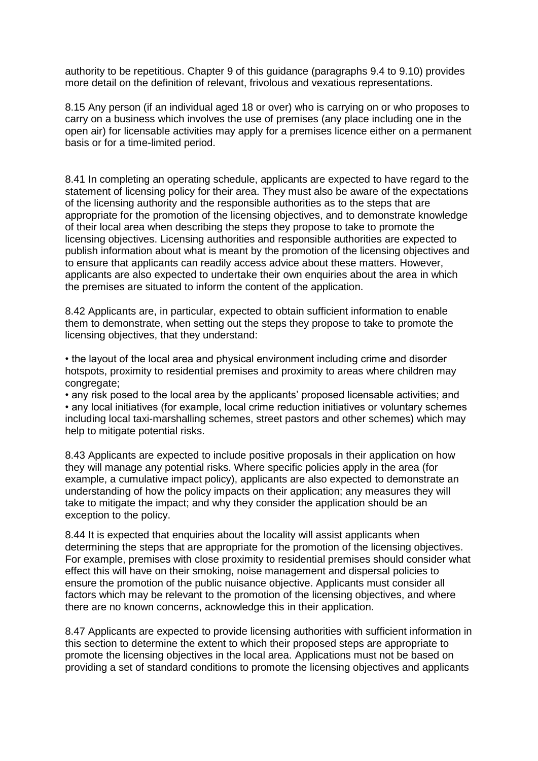authority to be repetitious. Chapter 9 of this guidance (paragraphs 9.4 to 9.10) provides more detail on the definition of relevant, frivolous and vexatious representations.

8.15 Any person (if an individual aged 18 or over) who is carrying on or who proposes to carry on a business which involves the use of premises (any place including one in the open air) for licensable activities may apply for a premises licence either on a permanent basis or for a time-limited period.

8.41 In completing an operating schedule, applicants are expected to have regard to the statement of licensing policy for their area. They must also be aware of the expectations of the licensing authority and the responsible authorities as to the steps that are appropriate for the promotion of the licensing objectives, and to demonstrate knowledge of their local area when describing the steps they propose to take to promote the licensing objectives. Licensing authorities and responsible authorities are expected to publish information about what is meant by the promotion of the licensing objectives and to ensure that applicants can readily access advice about these matters. However, applicants are also expected to undertake their own enquiries about the area in which the premises are situated to inform the content of the application.

8.42 Applicants are, in particular, expected to obtain sufficient information to enable them to demonstrate, when setting out the steps they propose to take to promote the licensing objectives, that they understand:

• the layout of the local area and physical environment including crime and disorder hotspots, proximity to residential premises and proximity to areas where children may congregate;

• any risk posed to the local area by the applicants' proposed licensable activities; and • any local initiatives (for example, local crime reduction initiatives or voluntary schemes including local taxi-marshalling schemes, street pastors and other schemes) which may help to mitigate potential risks.

8.43 Applicants are expected to include positive proposals in their application on how they will manage any potential risks. Where specific policies apply in the area (for example, a cumulative impact policy), applicants are also expected to demonstrate an understanding of how the policy impacts on their application; any measures they will take to mitigate the impact; and why they consider the application should be an exception to the policy.

8.44 It is expected that enquiries about the locality will assist applicants when determining the steps that are appropriate for the promotion of the licensing objectives. For example, premises with close proximity to residential premises should consider what effect this will have on their smoking, noise management and dispersal policies to ensure the promotion of the public nuisance objective. Applicants must consider all factors which may be relevant to the promotion of the licensing objectives, and where there are no known concerns, acknowledge this in their application.

8.47 Applicants are expected to provide licensing authorities with sufficient information in this section to determine the extent to which their proposed steps are appropriate to promote the licensing objectives in the local area. Applications must not be based on providing a set of standard conditions to promote the licensing objectives and applicants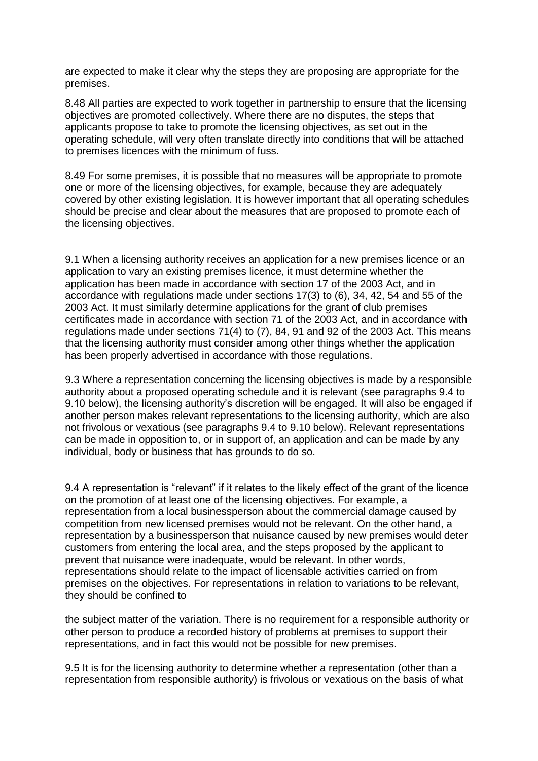are expected to make it clear why the steps they are proposing are appropriate for the premises.

8.48 All parties are expected to work together in partnership to ensure that the licensing objectives are promoted collectively. Where there are no disputes, the steps that applicants propose to take to promote the licensing objectives, as set out in the operating schedule, will very often translate directly into conditions that will be attached to premises licences with the minimum of fuss.

8.49 For some premises, it is possible that no measures will be appropriate to promote one or more of the licensing objectives, for example, because they are adequately covered by other existing legislation. It is however important that all operating schedules should be precise and clear about the measures that are proposed to promote each of the licensing objectives.

9.1 When a licensing authority receives an application for a new premises licence or an application to vary an existing premises licence, it must determine whether the application has been made in accordance with section 17 of the 2003 Act, and in accordance with regulations made under sections 17(3) to (6), 34, 42, 54 and 55 of the 2003 Act. It must similarly determine applications for the grant of club premises certificates made in accordance with section 71 of the 2003 Act, and in accordance with regulations made under sections 71(4) to (7), 84, 91 and 92 of the 2003 Act. This means that the licensing authority must consider among other things whether the application has been properly advertised in accordance with those regulations.

9.3 Where a representation concerning the licensing objectives is made by a responsible authority about a proposed operating schedule and it is relevant (see paragraphs 9.4 to 9.10 below), the licensing authority's discretion will be engaged. It will also be engaged if another person makes relevant representations to the licensing authority, which are also not frivolous or vexatious (see paragraphs 9.4 to 9.10 below). Relevant representations can be made in opposition to, or in support of, an application and can be made by any individual, body or business that has grounds to do so.

9.4 A representation is "relevant" if it relates to the likely effect of the grant of the licence on the promotion of at least one of the licensing objectives. For example, a representation from a local businessperson about the commercial damage caused by competition from new licensed premises would not be relevant. On the other hand, a representation by a businessperson that nuisance caused by new premises would deter customers from entering the local area, and the steps proposed by the applicant to prevent that nuisance were inadequate, would be relevant. In other words, representations should relate to the impact of licensable activities carried on from premises on the objectives. For representations in relation to variations to be relevant, they should be confined to

the subject matter of the variation. There is no requirement for a responsible authority or other person to produce a recorded history of problems at premises to support their representations, and in fact this would not be possible for new premises.

9.5 It is for the licensing authority to determine whether a representation (other than a representation from responsible authority) is frivolous or vexatious on the basis of what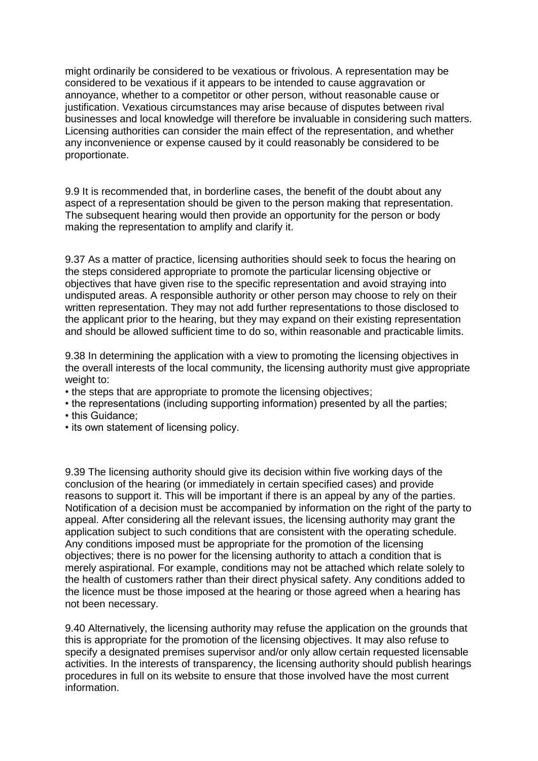might ordinarily be considered to be vexatious or frivolous. A representation may be considered to be vexatious if it appears to be intended to cause aggravation or annoyance, whether to a competitor or other person, without reasonable cause or justification. Vexatious circumstances may arise because of disputes between rival businesses and local knowledge will therefore be invaluable in considering such matters. Licensing authorities can consider the main effect of the representation, and whether any inconvenience or expense caused by it could reasonably be considered to be proportionate.

9.9 It is recommended that, in borderline cases, the benefit of the doubt about any aspect of a representation should be given to the person making that representation. The subsequent hearing would then provide an opportunity for the person or body making the representation to amplify and clarify it.

9.37 As a matter of practice, licensing authorities should seek to focus the hearing on the steps considered appropriate to promote the particular licensing objective or objectives that have given rise to the specific representation and avoid straying into undisputed areas. A responsible authority or other person may choose to rely on their written representation. They may not add further representations to those disclosed to the applicant prior to the hearing, but they may expand on their existing representation and should be allowed sufficient time to do so, within reasonable and practicable limits.

9.38 In determining the application with a view to promoting the licensing objectives in the overall interests of the local community, the licensing authority must give appropriate weight to:

- the steps that are appropriate to promote the licensing objectives;
- the representations (including supporting information) presented by all the parties;
- this Guidance;
- its own statement of licensing policy.

9.39 The licensing authority should give its decision within five working days of the conclusion of the hearing (or immediately in certain specified cases) and provide reasons to support it. This will be important if there is an appeal by any of the parties. Notification of a decision must be accompanied by information on the right of the party to appeal. After considering all the relevant issues, the licensing authority may grant the application subject to such conditions that are consistent with the operating schedule. Any conditions imposed must be appropriate for the promotion of the licensing objectives; there is no power for the licensing authority to attach a condition that is merely aspirational. For example, conditions may not be attached which relate solely to the health of customers rather than their direct physical safety. Any conditions added to the licence must be those imposed at the hearing or those agreed when a hearing has not been necessary.

9.40 Alternatively, the licensing authority may refuse the application on the grounds that this is appropriate for the promotion of the licensing objectives. It may also refuse to specify a designated premises supervisor and/or only allow certain requested licensable activities. In the interests of transparency, the licensing authority should publish hearings procedures in full on its website to ensure that those involved have the most current information.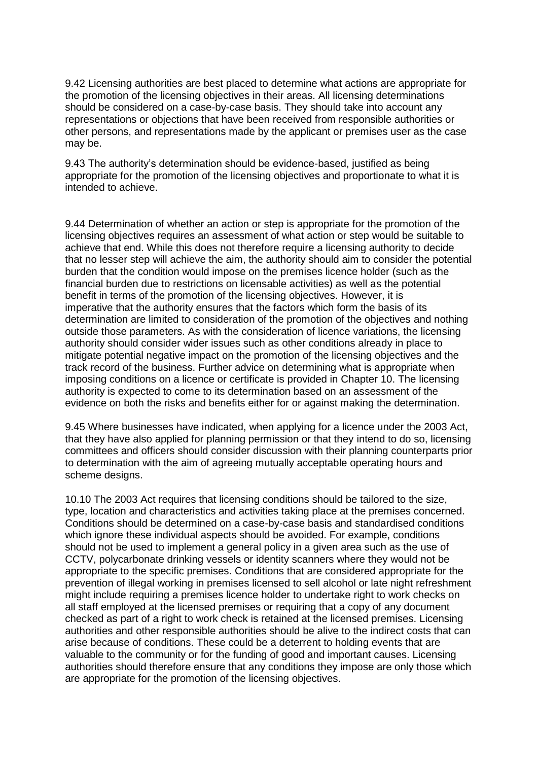9.42 Licensing authorities are best placed to determine what actions are appropriate for the promotion of the licensing objectives in their areas. All licensing determinations should be considered on a case-by-case basis. They should take into account any representations or objections that have been received from responsible authorities or other persons, and representations made by the applicant or premises user as the case may be.

9.43 The authority's determination should be evidence-based, justified as being appropriate for the promotion of the licensing objectives and proportionate to what it is intended to achieve.

9.44 Determination of whether an action or step is appropriate for the promotion of the licensing objectives requires an assessment of what action or step would be suitable to achieve that end. While this does not therefore require a licensing authority to decide that no lesser step will achieve the aim, the authority should aim to consider the potential burden that the condition would impose on the premises licence holder (such as the financial burden due to restrictions on licensable activities) as well as the potential benefit in terms of the promotion of the licensing objectives. However, it is imperative that the authority ensures that the factors which form the basis of its determination are limited to consideration of the promotion of the objectives and nothing outside those parameters. As with the consideration of licence variations, the licensing authority should consider wider issues such as other conditions already in place to mitigate potential negative impact on the promotion of the licensing objectives and the track record of the business. Further advice on determining what is appropriate when imposing conditions on a licence or certificate is provided in Chapter 10. The licensing authority is expected to come to its determination based on an assessment of the evidence on both the risks and benefits either for or against making the determination.

9.45 Where businesses have indicated, when applying for a licence under the 2003 Act, that they have also applied for planning permission or that they intend to do so, licensing committees and officers should consider discussion with their planning counterparts prior to determination with the aim of agreeing mutually acceptable operating hours and scheme designs.

10.10 The 2003 Act requires that licensing conditions should be tailored to the size, type, location and characteristics and activities taking place at the premises concerned. Conditions should be determined on a case-by-case basis and standardised conditions which ignore these individual aspects should be avoided. For example, conditions should not be used to implement a general policy in a given area such as the use of CCTV, polycarbonate drinking vessels or identity scanners where they would not be appropriate to the specific premises. Conditions that are considered appropriate for the prevention of illegal working in premises licensed to sell alcohol or late night refreshment might include requiring a premises licence holder to undertake right to work checks on all staff employed at the licensed premises or requiring that a copy of any document checked as part of a right to work check is retained at the licensed premises. Licensing authorities and other responsible authorities should be alive to the indirect costs that can arise because of conditions. These could be a deterrent to holding events that are valuable to the community or for the funding of good and important causes. Licensing authorities should therefore ensure that any conditions they impose are only those which are appropriate for the promotion of the licensing objectives.